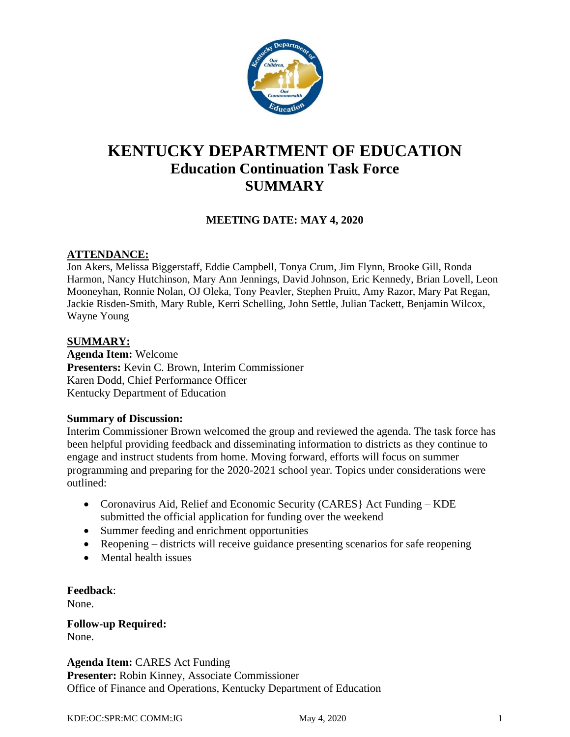

# **KENTUCKY DEPARTMENT OF EDUCATION Education Continuation Task Force SUMMARY**

# **MEETING DATE: MAY 4, 2020**

## **ATTENDANCE:**

Jon Akers, Melissa Biggerstaff, Eddie Campbell, Tonya Crum, Jim Flynn, Brooke Gill, Ronda Harmon, Nancy Hutchinson, Mary Ann Jennings, David Johnson, Eric Kennedy, Brian Lovell, Leon Mooneyhan, Ronnie Nolan, OJ Oleka, Tony Peavler, Stephen Pruitt, Amy Razor, Mary Pat Regan, Jackie Risden-Smith, Mary Ruble, Kerri Schelling, John Settle, Julian Tackett, Benjamin Wilcox, Wayne Young

#### **SUMMARY:**

**Agenda Item:** Welcome **Presenters:** Kevin C. Brown, Interim Commissioner Karen Dodd, Chief Performance Officer Kentucky Department of Education

#### **Summary of Discussion:**

Interim Commissioner Brown welcomed the group and reviewed the agenda. The task force has been helpful providing feedback and disseminating information to districts as they continue to engage and instruct students from home. Moving forward, efforts will focus on summer programming and preparing for the 2020-2021 school year. Topics under considerations were outlined:

- Coronavirus Aid, Relief and Economic Security (CARES) Act Funding KDE submitted the official application for funding over the weekend
- Summer feeding and enrichment opportunities
- Reopening districts will receive guidance presenting scenarios for safe reopening
- Mental health issues

**Feedback**:

None.

**Follow-up Required:** None.

**Agenda Item:** CARES Act Funding **Presenter:** Robin Kinney, Associate Commissioner Office of Finance and Operations, Kentucky Department of Education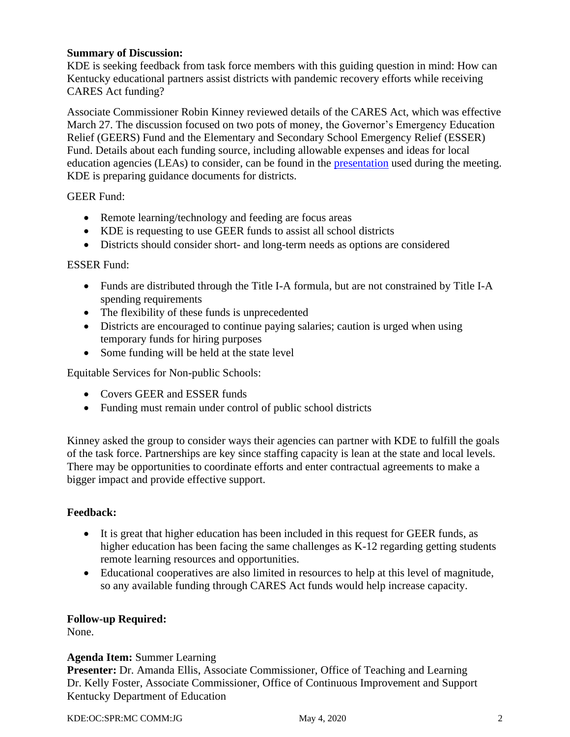## **Summary of Discussion:**

KDE is seeking feedback from task force members with this guiding question in mind: How can Kentucky educational partners assist districts with pandemic recovery efforts while receiving CARES Act funding?

Associate Commissioner Robin Kinney reviewed details of the CARES Act, which was effective March 27. The discussion focused on two pots of money, the Governor's Emergency Education Relief (GEERS) Fund and the Elementary and Secondary School Emergency Relief (ESSER) Fund. Details about each funding source, including allowable expenses and ideas for local education agencies (LEAs) to consider, can be found in the [presentation](https://education.ky.gov/CommOfEd/adv/Documents/Education%20Continuation/2020May4%20KDE%20Education%20Task%20Force.pdf) used during the meeting. KDE is preparing guidance documents for districts.

GEER Fund:

- Remote learning/technology and feeding are focus areas
- KDE is requesting to use GEER funds to assist all school districts
- Districts should consider short- and long-term needs as options are considered

## ESSER Fund:

- Funds are distributed through the Title I-A formula, but are not constrained by Title I-A spending requirements
- The flexibility of these funds is unprecedented
- Districts are encouraged to continue paying salaries; caution is urged when using temporary funds for hiring purposes
- Some funding will be held at the state level

Equitable Services for Non-public Schools:

- Covers GEER and ESSER funds
- Funding must remain under control of public school districts

Kinney asked the group to consider ways their agencies can partner with KDE to fulfill the goals of the task force. Partnerships are key since staffing capacity is lean at the state and local levels. There may be opportunities to coordinate efforts and enter contractual agreements to make a bigger impact and provide effective support.

# **Feedback:**

- It is great that higher education has been included in this request for GEER funds, as higher education has been facing the same challenges as K-12 regarding getting students remote learning resources and opportunities.
- Educational cooperatives are also limited in resources to help at this level of magnitude, so any available funding through CARES Act funds would help increase capacity.

# **Follow-up Required:**

None.

# **Agenda Item:** Summer Learning

**Presenter:** Dr. Amanda Ellis, Associate Commissioner, Office of Teaching and Learning Dr. Kelly Foster, Associate Commissioner, Office of Continuous Improvement and Support Kentucky Department of Education

KDE:OC:SPR:MC COMM:JG May 4, 2020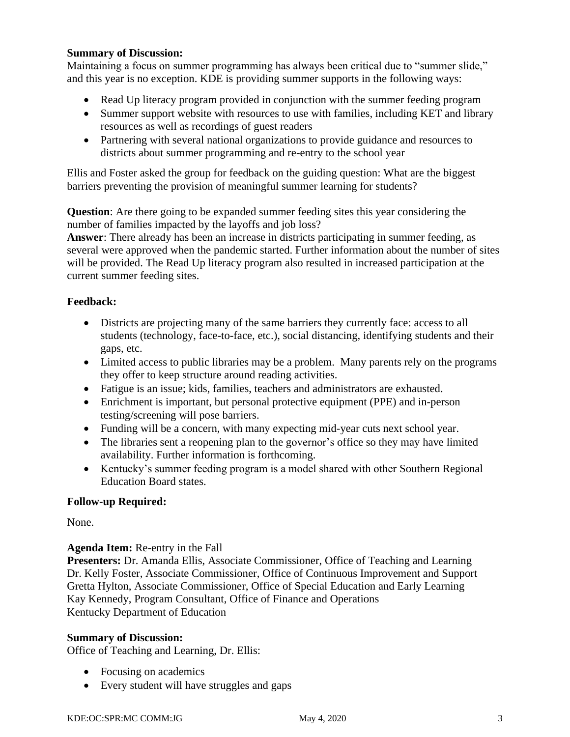#### **Summary of Discussion:**

Maintaining a focus on summer programming has always been critical due to "summer slide," and this year is no exception. KDE is providing summer supports in the following ways:

- Read Up literacy program provided in conjunction with the summer feeding program
- Summer support website with resources to use with families, including KET and library resources as well as recordings of guest readers
- Partnering with several national organizations to provide guidance and resources to districts about summer programming and re-entry to the school year

Ellis and Foster asked the group for feedback on the guiding question: What are the biggest barriers preventing the provision of meaningful summer learning for students?

**Question**: Are there going to be expanded summer feeding sites this year considering the number of families impacted by the layoffs and job loss?

**Answer**: There already has been an increase in districts participating in summer feeding, as several were approved when the pandemic started. Further information about the number of sites will be provided. The Read Up literacy program also resulted in increased participation at the current summer feeding sites.

# **Feedback:**

- Districts are projecting many of the same barriers they currently face: access to all students (technology, face-to-face, etc.), social distancing, identifying students and their gaps, etc.
- Limited access to public libraries may be a problem. Many parents rely on the programs they offer to keep structure around reading activities.
- Fatigue is an issue; kids, families, teachers and administrators are exhausted.
- Enrichment is important, but personal protective equipment (PPE) and in-person testing/screening will pose barriers.
- Funding will be a concern, with many expecting mid-year cuts next school year.
- The libraries sent a reopening plan to the governor's office so they may have limited availability. Further information is forthcoming.
- Kentucky's summer feeding program is a model shared with other Southern Regional Education Board states.

# **Follow-up Required:**

None.

# **Agenda Item:** Re-entry in the Fall

**Presenters:** Dr. Amanda Ellis, Associate Commissioner, Office of Teaching and Learning Dr. Kelly Foster, Associate Commissioner, Office of Continuous Improvement and Support Gretta Hylton, Associate Commissioner, Office of Special Education and Early Learning Kay Kennedy, Program Consultant, Office of Finance and Operations Kentucky Department of Education

# **Summary of Discussion:**

Office of Teaching and Learning, Dr. Ellis:

- Focusing on academics
- Every student will have struggles and gaps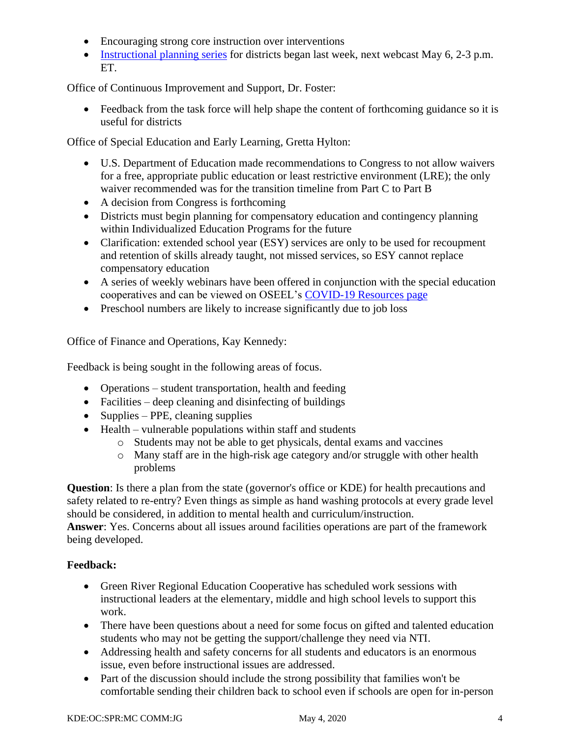- Encouraging strong core instruction over interventions
- [Instructional planning series](https://www.youtube.com/watch?v=-Bh4AtXMYDI&feature=youtu.be) for districts began last week, next webcast May 6, 2-3 p.m. ET.

Office of Continuous Improvement and Support, Dr. Foster:

• Feedback from the task force will help shape the content of forthcoming guidance so it is useful for districts

Office of Special Education and Early Learning, Gretta Hylton:

- U.S. Department of Education made recommendations to Congress to not allow waivers for a free, appropriate public education or least restrictive environment (LRE); the only waiver recommended was for the transition timeline from Part C to Part B
- A decision from Congress is forthcoming
- Districts must begin planning for compensatory education and contingency planning within Individualized Education Programs for the future
- Clarification: extended school year (ESY) services are only to be used for recoupment and retention of skills already taught, not missed services, so ESY cannot replace compensatory education
- A series of weekly webinars have been offered in conjunction with the special education cooperatives and can be viewed on OSEEL's [COVID-19 Resources page](https://education.ky.gov/specialed/excep/instresources/Pages/SpecEdRegCoopWebinar.aspx)
- Preschool numbers are likely to increase significantly due to job loss

Office of Finance and Operations, Kay Kennedy:

Feedback is being sought in the following areas of focus.

- Operations student transportation, health and feeding
- Facilities deep cleaning and disinfecting of buildings
- Supplies PPE, cleaning supplies
- Health vulnerable populations within staff and students
	- o Students may not be able to get physicals, dental exams and vaccines
	- o Many staff are in the high-risk age category and/or struggle with other health problems

**Question**: Is there a plan from the state (governor's office or KDE) for health precautions and safety related to re-entry? Even things as simple as hand washing protocols at every grade level should be considered, in addition to mental health and curriculum/instruction.

**Answer**: Yes. Concerns about all issues around facilities operations are part of the framework being developed.

# **Feedback:**

- Green River Regional Education Cooperative has scheduled work sessions with instructional leaders at the elementary, middle and high school levels to support this work.
- There have been questions about a need for some focus on gifted and talented education students who may not be getting the support/challenge they need via NTI.
- Addressing health and safety concerns for all students and educators is an enormous issue, even before instructional issues are addressed.
- Part of the discussion should include the strong possibility that families won't be comfortable sending their children back to school even if schools are open for in-person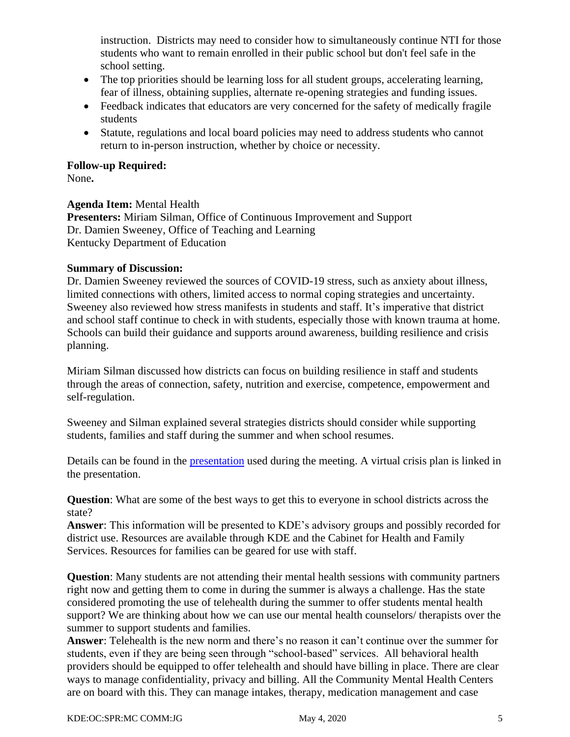instruction. Districts may need to consider how to simultaneously continue NTI for those students who want to remain enrolled in their public school but don't feel safe in the school setting.

- The top priorities should be learning loss for all student groups, accelerating learning, fear of illness, obtaining supplies, alternate re-opening strategies and funding issues.
- Feedback indicates that educators are very concerned for the safety of medically fragile students
- Statute, regulations and local board policies may need to address students who cannot return to in-person instruction, whether by choice or necessity.

## **Follow-up Required:**

None**.**

## **Agenda Item:** Mental Health

**Presenters:** Miriam Silman, Office of Continuous Improvement and Support Dr. Damien Sweeney, Office of Teaching and Learning Kentucky Department of Education

## **Summary of Discussion:**

Dr. Damien Sweeney reviewed the sources of COVID-19 stress, such as anxiety about illness, limited connections with others, limited access to normal coping strategies and uncertainty. Sweeney also reviewed how stress manifests in students and staff. It's imperative that district and school staff continue to check in with students, especially those with known trauma at home. Schools can build their guidance and supports around awareness, building resilience and crisis planning.

Miriam Silman discussed how districts can focus on building resilience in staff and students through the areas of connection, safety, nutrition and exercise, competence, empowerment and self-regulation.

Sweeney and Silman explained several strategies districts should consider while supporting students, families and staff during the summer and when school resumes.

Details can be found in the [presentation](https://education.ky.gov/CommOfEd/adv/Documents/Education%20Continuation/2020May4%20Behavioral%20Health%20Powerpoint.pdf) used during the meeting. A virtual crisis plan is linked in the presentation.

**Question**: What are some of the best ways to get this to everyone in school districts across the state?

**Answer**: This information will be presented to KDE's advisory groups and possibly recorded for district use. Resources are available through KDE and the Cabinet for Health and Family Services. Resources for families can be geared for use with staff.

**Question**: Many students are not attending their mental health sessions with community partners right now and getting them to come in during the summer is always a challenge. Has the state considered promoting the use of telehealth during the summer to offer students mental health support? We are thinking about how we can use our mental health counselors/ therapists over the summer to support students and families.

**Answer**: Telehealth is the new norm and there's no reason it can't continue over the summer for students, even if they are being seen through "school-based" services. All behavioral health providers should be equipped to offer telehealth and should have billing in place. There are clear ways to manage confidentiality, privacy and billing. All the Community Mental Health Centers are on board with this. They can manage intakes, therapy, medication management and case